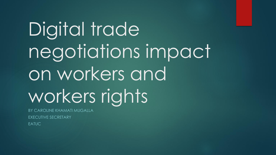## Digital trade negotiations impact on workers and workers rights

BY CAROLINE KHAMATI MUGALLA EXECUTIVE SECRETARY EATUC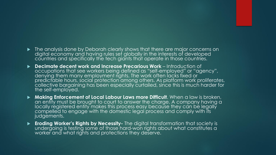- $\blacktriangleright$  The analysis done by Deborah clearly shows that there are major concerns on digital economy and having rules set globally in the interests of developed countries and specifically the tech giants that operate in those countries.
- **Decimate decent work and Increase Precarious Work** Introduction of occupations that see workers being defined as "self-employed" or "agency", denying them many employment rights. The work often lacks fixed or predictable hours, social protection among others. As platform work proliferates, collective bargaining has been especially curtailed, since this is much harder for the self-employed.
- **Making Enforcement of Local Labour Laws more Difficult**. When a law is broken, an entity must be brought to court to answer the charge. A company having a locally registered entity makes this process easy because they can be legally compelled to engage with the domestic legal process and comply with its judgements.
- **Eroding Worker's Rights by Necessity-** The digital transformation that society is undergoing is testing some of those hard-won rights about what constitutes a worker and what rights and protections they deserve.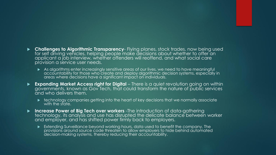- **Challenges to Algorithmic Transparency** Flying planes, stock trades, now being used for self driving vehicles, helping people make decisions about whether to offer an applicant a job interview, whether offenders will reoffend, and what social care provision a service user needs.
	- As algorithms enter increasingly sensitive areas of our lives, we need to have meaningful accountability for those who create and deploy algorithmic decision systems, especially in areas where decisions have a significant impact on individuals.
- **Expanding Market Access right for Digital** There is a quiet revolution going on within governments, known as Gov Tech, that could transform the nature of public services and who delivers them.
	- **technology companies getting into the heart of key decisions that we normally associate** with the state.
- **Increase Power of Big Tech over workers** -The introduction of data-gathering technology, its analysis and use has disrupted the delicate balance between worker and employer, and has shifted power firmly back to employers.
	- Extending Surveillance beyond working hours, data used to benefit the company, The provisions around source code threaten to allow employers to hide behind automated decision-making systems, thereby reducing their accountability.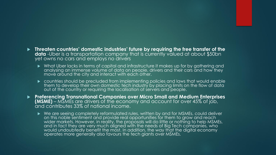- **Threaten countries' domestic industries' future by requiring the free transfer of the data** -Uber is a transportation company that is currently valued at about \$50bn yet owns no cars and employs no drivers
	- What Uber lacks in terms of capital and infrastructure it makes up for by gathering and analysing an immense volume of data on people, drivers and their cars and how they move around the city and interact with each other.
	- countries should be precluded from implementing policies and laws that would enable them to develop their own domestic tech industry by placing limits on the flow of data out of the country or requiring the localisation of servers and people.
- **Preferencing Transnational Companies over Micro Small and Medium Enterprises (MSME)** – MSMEs are drivers of the economy and account for over 45% of job, and contributes 33% of national income.
	- ▶ We are seeing completely reformulated rules, written by and for MSMEs, could deliver on this noble sentiment and provide real opportunities for them to grow and reach wider markets. However, in reality, the proposals will do little or nothing to help MSMEs, and in fact they are very much aligned with the needs of Big Tech companies, who would undoubtedly benefit the most. In addition, the way that the digital economy operates more generally also favours the tech giants over MSMEs.